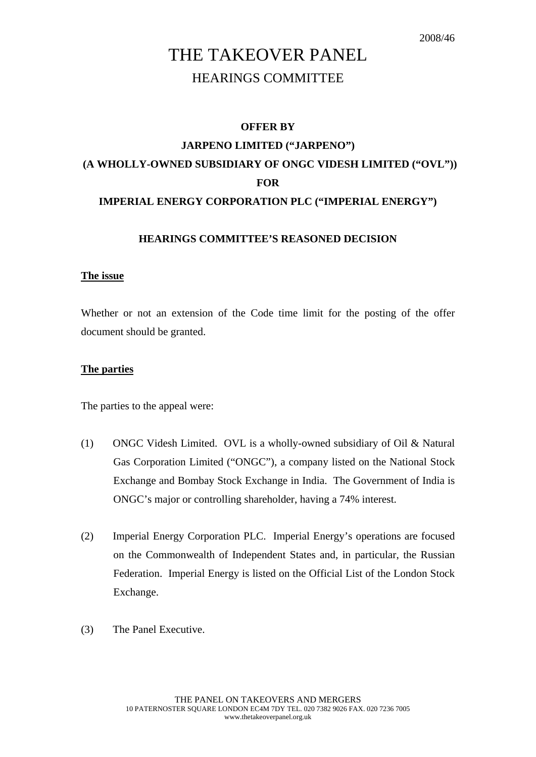# THE TAKEOVER PANEL HEARINGS COMMITTEE

## **OFFER BY JARPENO LIMITED ("JARPENO") (A WHOLLY-OWNED SUBSIDIARY OF ONGC VIDESH LIMITED ("OVL")) FOR IMPERIAL ENERGY CORPORATION PLC ("IMPERIAL ENERGY")**

## **HEARINGS COMMITTEE'S REASONED DECISION**

### **The issue**

Whether or not an extension of the Code time limit for the posting of the offer document should be granted.

## **The parties**

The parties to the appeal were:

- (1) ONGC Videsh Limited. OVL is a wholly-owned subsidiary of Oil & Natural Gas Corporation Limited ("ONGC"), a company listed on the National Stock Exchange and Bombay Stock Exchange in India. The Government of India is ONGC's major or controlling shareholder, having a 74% interest.
- (2) Imperial Energy Corporation PLC. Imperial Energy's operations are focused on the Commonwealth of Independent States and, in particular, the Russian Federation. Imperial Energy is listed on the Official List of the London Stock Exchange.
- (3) The Panel Executive.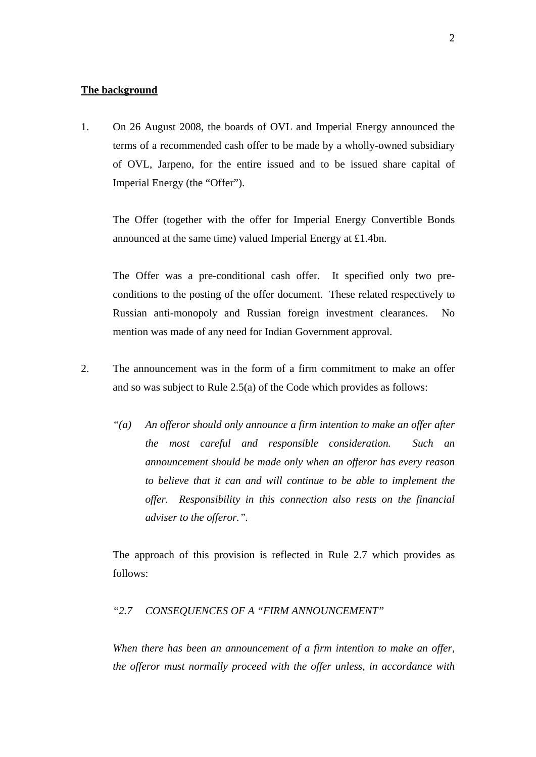#### **The background**

1. On 26 August 2008, the boards of OVL and Imperial Energy announced the terms of a recommended cash offer to be made by a wholly-owned subsidiary of OVL, Jarpeno, for the entire issued and to be issued share capital of Imperial Energy (the "Offer").

 The Offer (together with the offer for Imperial Energy Convertible Bonds announced at the same time) valued Imperial Energy at £1.4bn.

 The Offer was a pre-conditional cash offer. It specified only two preconditions to the posting of the offer document. These related respectively to Russian anti-monopoly and Russian foreign investment clearances. No mention was made of any need for Indian Government approval.

- 2. The announcement was in the form of a firm commitment to make an offer and so was subject to Rule 2.5(a) of the Code which provides as follows:
	- *"(a) An offeror should only announce a firm intention to make an offer after the most careful and responsible consideration. Such an announcement should be made only when an offeror has every reason to believe that it can and will continue to be able to implement the offer. Responsibility in this connection also rests on the financial adviser to the offeror.".*

 The approach of this provision is reflected in Rule 2.7 which provides as follows:

### *"2.7 CONSEQUENCES OF A "FIRM ANNOUNCEMENT"*

*When there has been an announcement of a firm intention to make an offer, the offeror must normally proceed with the offer unless, in accordance with*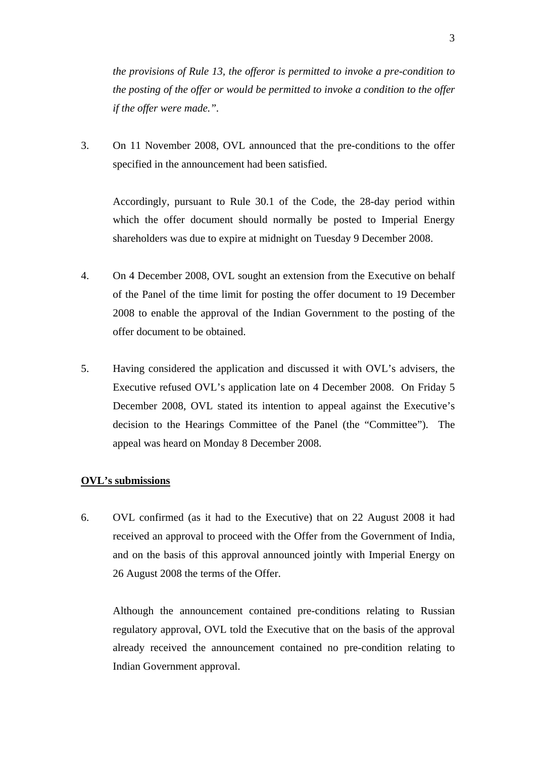*the provisions of Rule 13, the offeror is permitted to invoke a pre-condition to the posting of the offer or would be permitted to invoke a condition to the offer if the offer were made.".* 

3. On 11 November 2008, OVL announced that the pre-conditions to the offer specified in the announcement had been satisfied.

 Accordingly, pursuant to Rule 30.1 of the Code, the 28-day period within which the offer document should normally be posted to Imperial Energy shareholders was due to expire at midnight on Tuesday 9 December 2008.

- 4. On 4 December 2008, OVL sought an extension from the Executive on behalf of the Panel of the time limit for posting the offer document to 19 December 2008 to enable the approval of the Indian Government to the posting of the offer document to be obtained.
- 5. Having considered the application and discussed it with OVL's advisers, the Executive refused OVL's application late on 4 December 2008. On Friday 5 December 2008, OVL stated its intention to appeal against the Executive's decision to the Hearings Committee of the Panel (the "Committee"). The appeal was heard on Monday 8 December 2008.

#### **OVL's submissions**

6. OVL confirmed (as it had to the Executive) that on 22 August 2008 it had received an approval to proceed with the Offer from the Government of India, and on the basis of this approval announced jointly with Imperial Energy on 26 August 2008 the terms of the Offer.

 Although the announcement contained pre-conditions relating to Russian regulatory approval, OVL told the Executive that on the basis of the approval already received the announcement contained no pre-condition relating to Indian Government approval.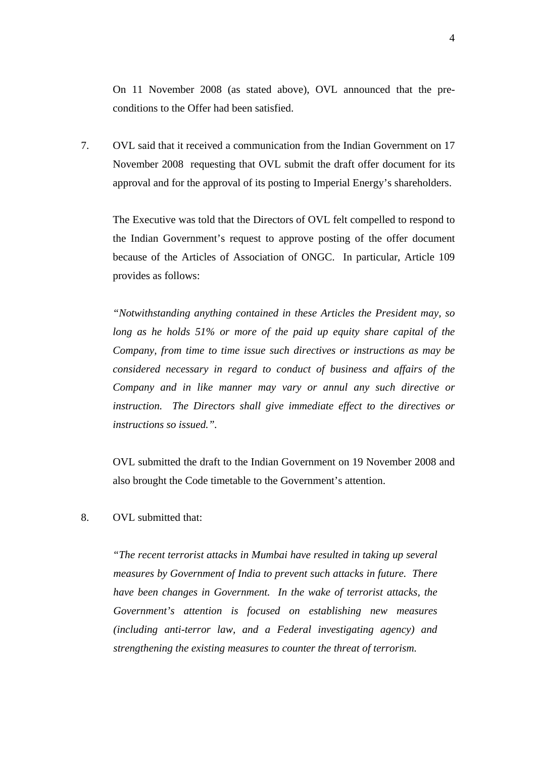On 11 November 2008 (as stated above), OVL announced that the preconditions to the Offer had been satisfied.

7. OVL said that it received a communication from the Indian Government on 17 November 2008 requesting that OVL submit the draft offer document for its approval and for the approval of its posting to Imperial Energy's shareholders.

 The Executive was told that the Directors of OVL felt compelled to respond to the Indian Government's request to approve posting of the offer document because of the Articles of Association of ONGC. In particular, Article 109 provides as follows:

*"Notwithstanding anything contained in these Articles the President may, so long as he holds 51% or more of the paid up equity share capital of the Company, from time to time issue such directives or instructions as may be considered necessary in regard to conduct of business and affairs of the Company and in like manner may vary or annul any such directive or instruction. The Directors shall give immediate effect to the directives or instructions so issued.".* 

 OVL submitted the draft to the Indian Government on 19 November 2008 and also brought the Code timetable to the Government's attention.

8. OVL submitted that:

*"The recent terrorist attacks in Mumbai have resulted in taking up several measures by Government of India to prevent such attacks in future. There have been changes in Government. In the wake of terrorist attacks, the Government's attention is focused on establishing new measures (including anti-terror law, and a Federal investigating agency) and strengthening the existing measures to counter the threat of terrorism.*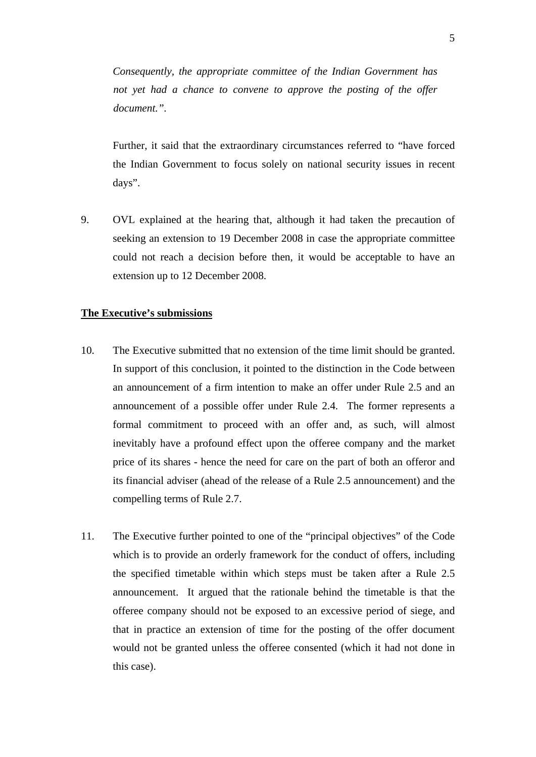*Consequently, the appropriate committee of the Indian Government has not yet had a chance to convene to approve the posting of the offer document.".* 

 Further, it said that the extraordinary circumstances referred to "have forced the Indian Government to focus solely on national security issues in recent days".

9. OVL explained at the hearing that, although it had taken the precaution of seeking an extension to 19 December 2008 in case the appropriate committee could not reach a decision before then, it would be acceptable to have an extension up to 12 December 2008.

#### **The Executive's submissions**

- 10. The Executive submitted that no extension of the time limit should be granted. In support of this conclusion, it pointed to the distinction in the Code between an announcement of a firm intention to make an offer under Rule 2.5 and an announcement of a possible offer under Rule 2.4. The former represents a formal commitment to proceed with an offer and, as such, will almost inevitably have a profound effect upon the offeree company and the market price of its shares - hence the need for care on the part of both an offeror and its financial adviser (ahead of the release of a Rule 2.5 announcement) and the compelling terms of Rule 2.7.
- 11. The Executive further pointed to one of the "principal objectives" of the Code which is to provide an orderly framework for the conduct of offers, including the specified timetable within which steps must be taken after a Rule 2.5 announcement. It argued that the rationale behind the timetable is that the offeree company should not be exposed to an excessive period of siege, and that in practice an extension of time for the posting of the offer document would not be granted unless the offeree consented (which it had not done in this case).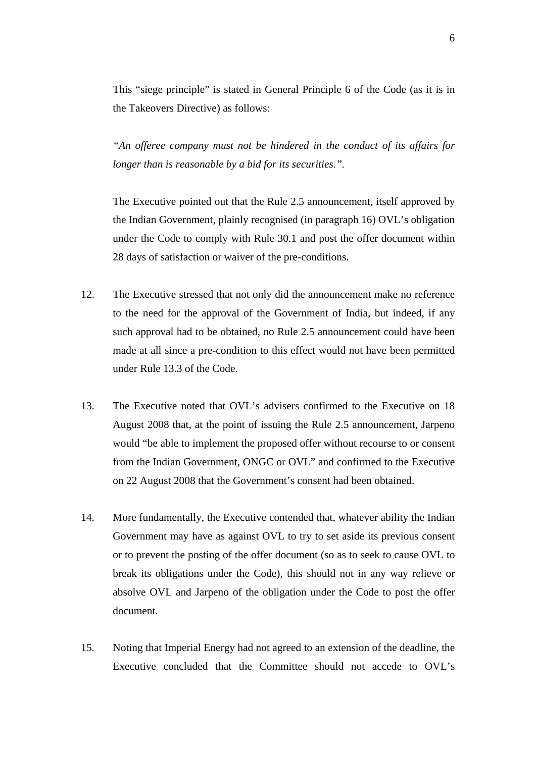This "siege principle" is stated in General Principle 6 of the Code (as it is in the Takeovers Directive) as follows:

*"An offeree company must not be hindered in the conduct of its affairs for longer than is reasonable by a bid for its securities.".* 

 The Executive pointed out that the Rule 2.5 announcement, itself approved by the Indian Government, plainly recognised (in paragraph 16) OVL's obligation under the Code to comply with Rule 30.1 and post the offer document within 28 days of satisfaction or waiver of the pre-conditions.

- 12. The Executive stressed that not only did the announcement make no reference to the need for the approval of the Government of India, but indeed, if any such approval had to be obtained, no Rule 2.5 announcement could have been made at all since a pre-condition to this effect would not have been permitted under Rule 13.3 of the Code.
- 13. The Executive noted that OVL's advisers confirmed to the Executive on 18 August 2008 that, at the point of issuing the Rule 2.5 announcement, Jarpeno would "be able to implement the proposed offer without recourse to or consent from the Indian Government, ONGC or OVL" and confirmed to the Executive on 22 August 2008 that the Government's consent had been obtained.
- 14. More fundamentally, the Executive contended that, whatever ability the Indian Government may have as against OVL to try to set aside its previous consent or to prevent the posting of the offer document (so as to seek to cause OVL to break its obligations under the Code), this should not in any way relieve or absolve OVL and Jarpeno of the obligation under the Code to post the offer document.
- 15. Noting that Imperial Energy had not agreed to an extension of the deadline, the Executive concluded that the Committee should not accede to OVL's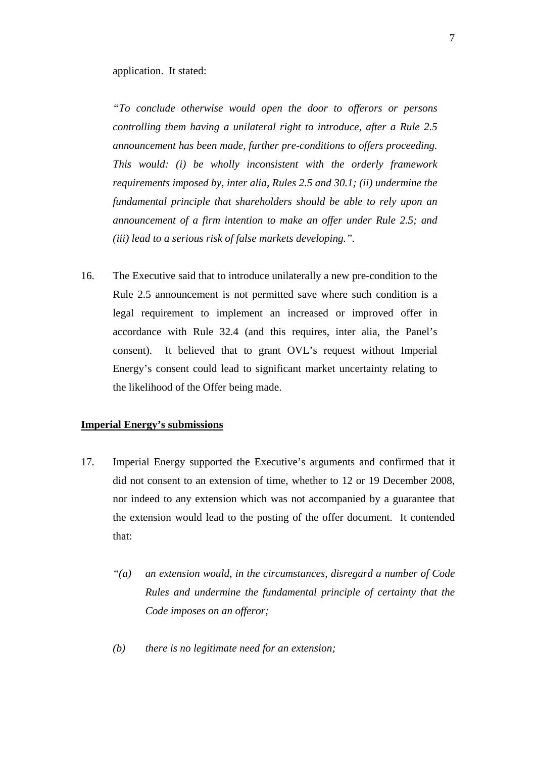application. It stated:

*"To conclude otherwise would open the door to offerors or persons controlling them having a unilateral right to introduce, after a Rule 2.5 announcement has been made, further pre-conditions to offers proceeding. This would: (i) be wholly inconsistent with the orderly framework requirements imposed by, inter alia, Rules 2.5 and 30.1; (ii) undermine the fundamental principle that shareholders should be able to rely upon an announcement of a firm intention to make an offer under Rule 2.5; and (iii) lead to a serious risk of false markets developing.".* 

16. The Executive said that to introduce unilaterally a new pre-condition to the Rule 2.5 announcement is not permitted save where such condition is a legal requirement to implement an increased or improved offer in accordance with Rule 32.4 (and this requires, inter alia, the Panel's consent). It believed that to grant OVL's request without Imperial Energy's consent could lead to significant market uncertainty relating to the likelihood of the Offer being made.

#### **Imperial Energy's submissions**

- 17. Imperial Energy supported the Executive's arguments and confirmed that it did not consent to an extension of time, whether to 12 or 19 December 2008, nor indeed to any extension which was not accompanied by a guarantee that the extension would lead to the posting of the offer document. It contended that:
	- *"(a) an extension would, in the circumstances, disregard a number of Code Rules and undermine the fundamental principle of certainty that the Code imposes on an offeror;*
	- *(b) there is no legitimate need for an extension;*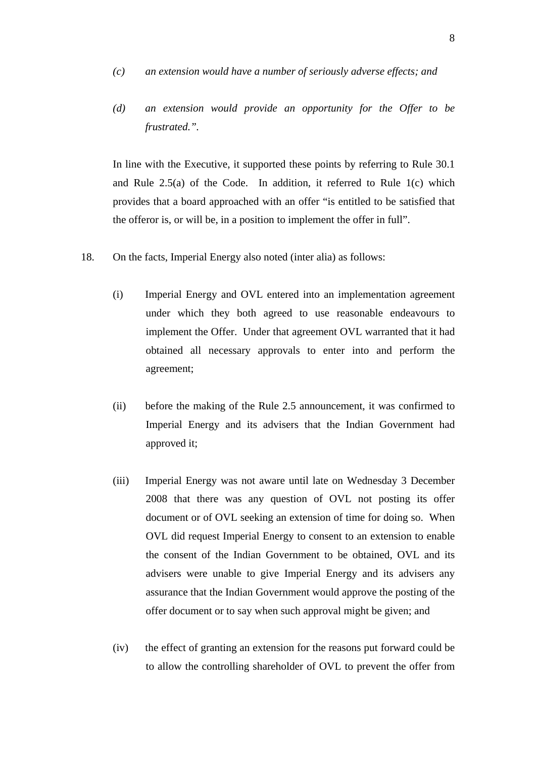- *(c) an extension would have a number of seriously adverse effects; and*
- *(d) an extension would provide an opportunity for the Offer to be frustrated.".*

 In line with the Executive, it supported these points by referring to Rule 30.1 and Rule 2.5(a) of the Code. In addition, it referred to Rule 1(c) which provides that a board approached with an offer "is entitled to be satisfied that the offeror is, or will be, in a position to implement the offer in full".

- 18. On the facts, Imperial Energy also noted (inter alia) as follows:
	- (i) Imperial Energy and OVL entered into an implementation agreement under which they both agreed to use reasonable endeavours to implement the Offer. Under that agreement OVL warranted that it had obtained all necessary approvals to enter into and perform the agreement;
	- (ii) before the making of the Rule 2.5 announcement, it was confirmed to Imperial Energy and its advisers that the Indian Government had approved it;
	- (iii) Imperial Energy was not aware until late on Wednesday 3 December 2008 that there was any question of OVL not posting its offer document or of OVL seeking an extension of time for doing so. When OVL did request Imperial Energy to consent to an extension to enable the consent of the Indian Government to be obtained, OVL and its advisers were unable to give Imperial Energy and its advisers any assurance that the Indian Government would approve the posting of the offer document or to say when such approval might be given; and
	- (iv) the effect of granting an extension for the reasons put forward could be to allow the controlling shareholder of OVL to prevent the offer from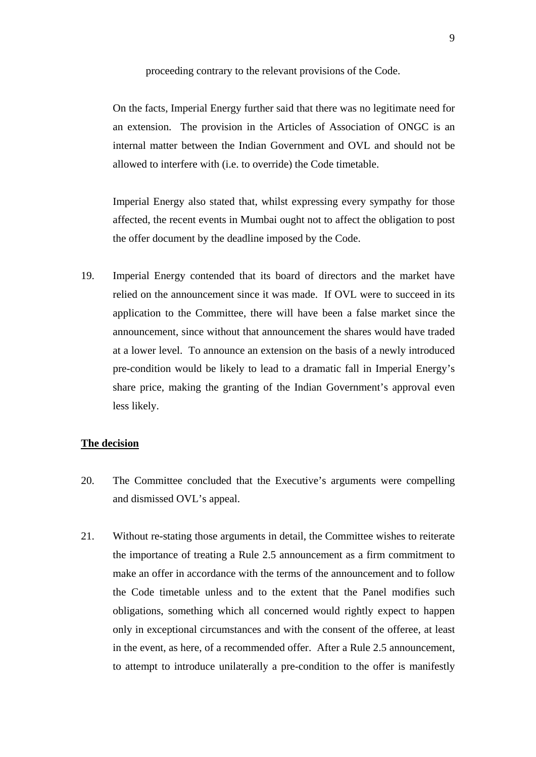proceeding contrary to the relevant provisions of the Code.

 On the facts, Imperial Energy further said that there was no legitimate need for an extension. The provision in the Articles of Association of ONGC is an internal matter between the Indian Government and OVL and should not be allowed to interfere with (i.e. to override) the Code timetable.

 Imperial Energy also stated that, whilst expressing every sympathy for those affected, the recent events in Mumbai ought not to affect the obligation to post the offer document by the deadline imposed by the Code.

19. Imperial Energy contended that its board of directors and the market have relied on the announcement since it was made. If OVL were to succeed in its application to the Committee, there will have been a false market since the announcement, since without that announcement the shares would have traded at a lower level. To announce an extension on the basis of a newly introduced pre-condition would be likely to lead to a dramatic fall in Imperial Energy's share price, making the granting of the Indian Government's approval even less likely.

#### **The decision**

- 20. The Committee concluded that the Executive's arguments were compelling and dismissed OVL's appeal.
- 21. Without re-stating those arguments in detail, the Committee wishes to reiterate the importance of treating a Rule 2.5 announcement as a firm commitment to make an offer in accordance with the terms of the announcement and to follow the Code timetable unless and to the extent that the Panel modifies such obligations, something which all concerned would rightly expect to happen only in exceptional circumstances and with the consent of the offeree, at least in the event, as here, of a recommended offer. After a Rule 2.5 announcement, to attempt to introduce unilaterally a pre-condition to the offer is manifestly